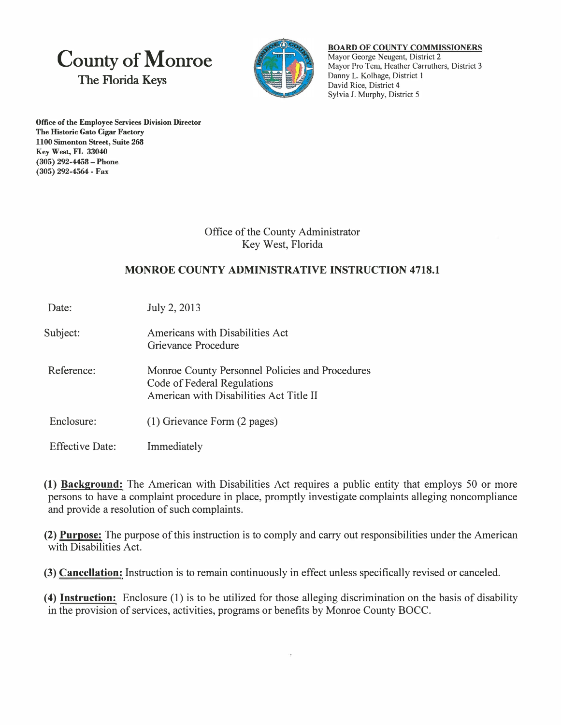## **County of Monroe The Florida Keys**



## **BOARD OF COUNTY COMMISSIONERS**  Mayor George Neugent, District 2 Mayor Pro Tem, Heather Carruthers, District 3 Danny L. Kolhage, District I David Rice, District 4 Sylvia **J.** Murphy, District 5

**Office of the Employee Services Division Director The Historic Gato Cigar Factory 1100 Simonton Street, Suite 268 Key West, FL 33040 (305) 292-4458 - Phone (305) 292-4564 - Fax**

> Office of the County Administrator Key West, Florida

## **MONROE COUNTY ADMINISTRATIVE INSTRUCTION 4718.1**

Date: July 2, 2013

- Subject: Americans with Disabilities Act Grievance Procedure
- Reference: Momoe County Personnel Policies and Procedures Code of Federal Regulations American with Disabilities Act Title II
- Enclosure: (1) Grievance Form (2 pages)
- Effective Date: Immediately

**(1) Background:** The American with Disabilities Act requires a public entity that employs 50 or more persons to have a complaint procedure in place, promptly investigate complaints alleging noncompliance and provide a resolution of such complaints.

**(2) Purpose:** The purpose of this instruction is to comply and carry out responsibilities under the American with Disabilities Act.

**(3) Cancellation:** Instruction is to remain continuously in effect unless specifically revised or canceled.

**(4) Instruction:** Enclosure (1) is to be utilized for those alleging discrimination on the basis of disability in the provision of services, activities, programs or benefits by Momoe County BOCC.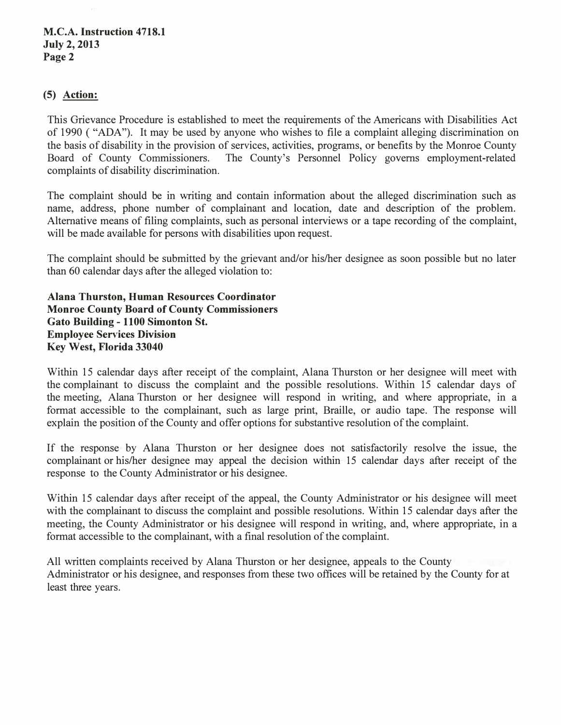## **(5) Action:**

This Grievance Procedure is established to meet the requirements of the Americans with Disabilities Act of 1990 ( "ADA"). It may be used by anyone who wishes to file a complaint alleging discrimination on the basis of disability in the provision of services, activities, programs, or benefits by the Monroe County Board of County Commissioners. The County's Personnel Policy governs employment-related complaints of disability discrimination.

The complaint should be in writing and contain information about the alleged discrimination such as name, address, phone number of complainant and location, date and description of the problem. Alternative means of filing complaints, such as personal interviews or a tape recording of the complaint, will be made available for persons with disabilities upon request.

The complaint should be submitted by the grievant and/or his/her designee as soon possible but no later than 60 calendar days after the alleged violation to:

**Alana Thurston, Human Resources Coordinator Monroe County Board of County Commissioners Gato Building - 1100 Simonton St. Employee Services Division Key West, Florida 33040** 

Within 15 calendar days after receipt of the complaint, Alana Thurston or her designee will meet with the complainant to discuss the complaint and the possible resolutions. Within 15 calendar days of the meeting, Alana Thurston or her designee will respond in writing, and where appropriate, in a format accessible to the complainant, such as large print, Braille, or audio tape. The response will explain the position of the County and offer options for substantive resolution of the complaint.

If the response by Alana Thurston or her designee does not satisfactorily resolve the issue, the complainant or his/her designee may appeal the decision within 15 calendar days after receipt of the response to the County Administrator or his designee.

Within 15 calendar days after receipt of the appeal, the County Administrator or his designee will meet with the complainant to discuss the complaint and possible resolutions. Within 15 calendar days after the meeting, the County Administrator or his designee will respond in writing, and, where appropriate, in a format accessible to the complainant, with a final resolution of the complaint.

All written complaints received by Alana Thurston or her designee, appeals to the County Administrator or his designee, and responses from these two offices will be retained by the County for at least three years.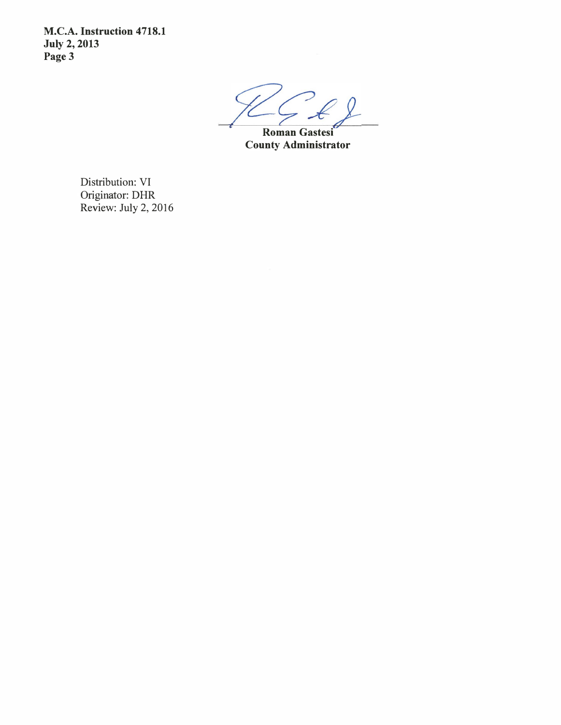**M.C.A. Instruction 4718.1 July 2, 2013 Page3**

**.. Roman Gastesi County Administrator** 

Distribution: VI Originator: DHR Review: July 2, 2016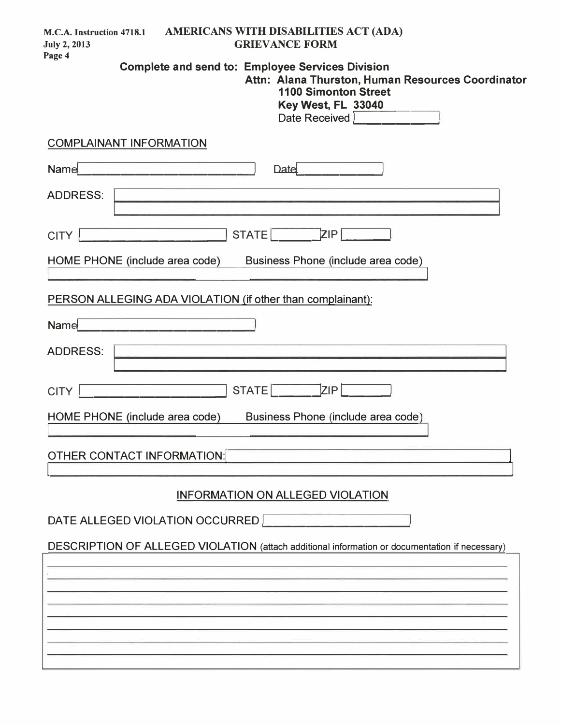| AMERICANS WITH DISABILITIES ACT (ADA)<br>M.C.A. Instruction 4718.1<br><b>GRIEVANCE FORM</b><br><b>July 2, 2013</b><br>Page 4                                                                                                                                                                                                                                                                               |  |
|------------------------------------------------------------------------------------------------------------------------------------------------------------------------------------------------------------------------------------------------------------------------------------------------------------------------------------------------------------------------------------------------------------|--|
| <b>Complete and send to: Employee Services Division</b><br>Attn: Alana Thurston, Human Resources Coordinator<br><b>1100 Simonton Street</b><br>Key West, FL 33040<br>Date Received   <b>Market Date Received</b>   <b>Market Date 10   120   120   120   120   120   120   120   120   120   120   120   120   120   120   120   120   120   120   120   120   120   120   120   120   120   120   120</b> |  |
| <b>COMPLAINANT INFORMATION</b>                                                                                                                                                                                                                                                                                                                                                                             |  |
| Name<br><b>Date</b>                                                                                                                                                                                                                                                                                                                                                                                        |  |
| <b>ADDRESS:</b><br><u> 1989 - Andrea Stadt Britain, amerikansk politik (d. 1989)</u>                                                                                                                                                                                                                                                                                                                       |  |
| ZIP<br><b>STATE</b><br><b>CITY</b>                                                                                                                                                                                                                                                                                                                                                                         |  |
| HOME PHONE (include area code)<br>Business Phone (include area code)                                                                                                                                                                                                                                                                                                                                       |  |
| PERSON ALLEGING ADA VIOLATION (if other than complainant):                                                                                                                                                                                                                                                                                                                                                 |  |
| Name                                                                                                                                                                                                                                                                                                                                                                                                       |  |
| <b>ADDRESS:</b>                                                                                                                                                                                                                                                                                                                                                                                            |  |
| <b>STATE</b><br>ZIP<br><b>CITY</b>                                                                                                                                                                                                                                                                                                                                                                         |  |
| HOME PHONE (include area code)<br>Business Phone (include area code)                                                                                                                                                                                                                                                                                                                                       |  |
| <b>OTHER CONTACT INFORMATION:</b>                                                                                                                                                                                                                                                                                                                                                                          |  |
| INFORMATION ON ALLEGED VIOLATION                                                                                                                                                                                                                                                                                                                                                                           |  |
| DATE ALLEGED VIOLATION OCCURRED                                                                                                                                                                                                                                                                                                                                                                            |  |
| DESCRIPTION OF ALLEGED VIOLATION (attach additional information or documentation if necessary)                                                                                                                                                                                                                                                                                                             |  |
|                                                                                                                                                                                                                                                                                                                                                                                                            |  |
|                                                                                                                                                                                                                                                                                                                                                                                                            |  |
|                                                                                                                                                                                                                                                                                                                                                                                                            |  |
|                                                                                                                                                                                                                                                                                                                                                                                                            |  |
|                                                                                                                                                                                                                                                                                                                                                                                                            |  |